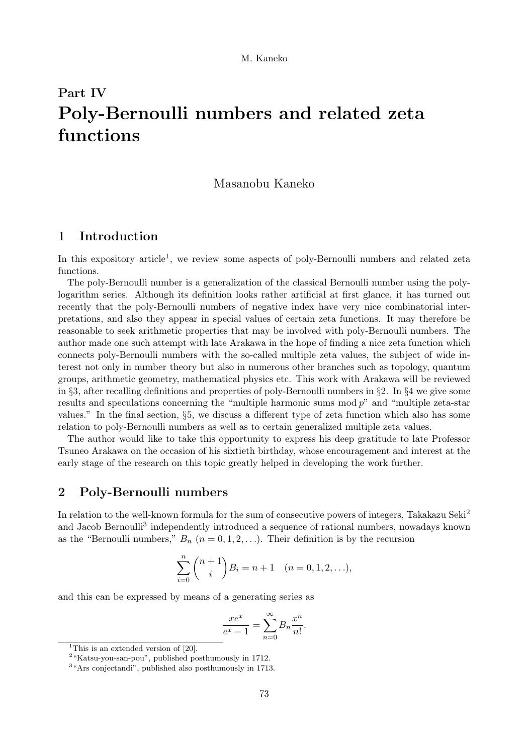# Part IV Poly-Bernoulli numbers and related zeta functions

## Masanobu Kaneko

# 1 Introduction

In this expository article<sup>1</sup>, we review some aspects of poly-Bernoulli numbers and related zeta functions.

The poly-Bernoulli number is a generalization of the classical Bernoulli number using the polylogarithm series. Although its definition looks rather artificial at first glance, it has turned out recently that the poly-Bernoulli numbers of negative index have very nice combinatorial interpretations, and also they appear in special values of certain zeta functions. It may therefore be reasonable to seek arithmetic properties that may be involved with poly-Bernoulli numbers. The author made one such attempt with late Arakawa in the hope of finding a nice zeta function which connects poly-Bernoulli numbers with the so-called multiple zeta values, the subject of wide interest not only in number theory but also in numerous other branches such as topology, quantum groups, arithmetic geometry, mathematical physics etc. This work with Arakawa will be reviewed in §3, after recalling definitions and properties of poly-Bernoulli numbers in §2. In §4 we give some results and speculations concerning the "multiple harmonic sums mod  $p$ " and "multiple zeta-star values." In the final section, §5, we discuss a different type of zeta function which also has some relation to poly-Bernoulli numbers as well as to certain generalized multiple zeta values.

The author would like to take this opportunity to express his deep gratitude to late Professor Tsuneo Arakawa on the occasion of his sixtieth birthday, whose encouragement and interest at the early stage of the research on this topic greatly helped in developing the work further.

# 2 Poly-Bernoulli numbers

In relation to the well-known formula for the sum of consecutive powers of integers, Takakazu Seki<sup>2</sup> and Jacob Bernoulli<sup>3</sup> independently introduced a sequence of rational numbers, nowadays known as the "Bernoulli numbers,"  $B_n$  ( $n = 0, 1, 2, \ldots$ ). Their definition is by the recursion

$$
\sum_{i=0}^{n} {n+1 \choose i} B_i = n+1 \quad (n = 0, 1, 2, \ldots),
$$

and this can be expressed by means of a generating series as

$$
\frac{xe^x}{e^x - 1} = \sum_{n=0}^{\infty} B_n \frac{x^n}{n!}.
$$

<sup>&</sup>lt;sup>1</sup>This is an extended version of  $[20]$ .

<sup>2</sup>"Katsu-you-san-pou", published posthumously in 1712.

<sup>3</sup>"Ars conjectandi", published also posthumously in 1713.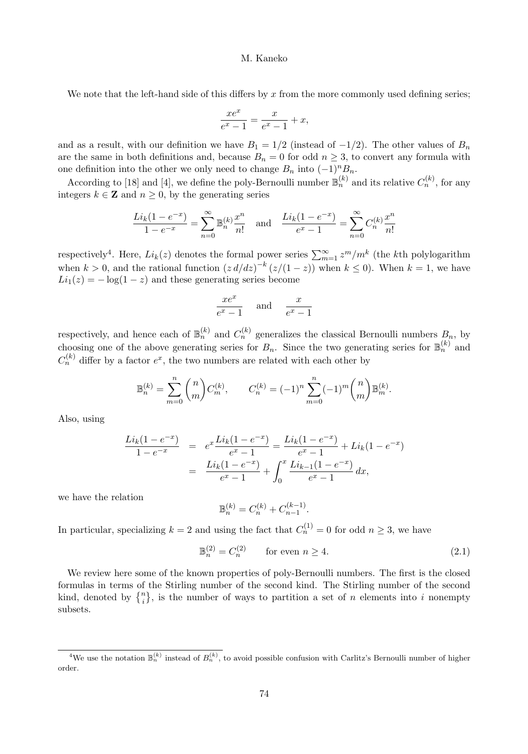We note that the left-hand side of this differs by  $x$  from the more commonly used defining series;

$$
\frac{xe^x}{e^x - 1} = \frac{x}{e^x - 1} + x,
$$

and as a result, with our definition we have  $B_1 = 1/2$  (instead of  $-1/2$ ). The other values of  $B_n$ are the same in both definitions and, because  $B_n = 0$  for odd  $n \geq 3$ , to convert any formula with one definition into the other we only need to change  $B_n$  into  $(-1)^n B_n$ .

According to [18] and [4], we define the poly-Bernoulli number  $\mathbb{B}_n^{(k)}$  and its relative  $C_n^{(k)}$ , for any integers  $k \in \mathbb{Z}$  and  $n \geq 0$ , by the generating series

$$
\frac{Li_k(1 - e^{-x})}{1 - e^{-x}} = \sum_{n=0}^{\infty} \mathbb{B}_n^{(k)} \frac{x^n}{n!} \text{ and } \frac{Li_k(1 - e^{-x})}{e^x - 1} = \sum_{n=0}^{\infty} C_n^{(k)} \frac{x^n}{n!}
$$

respectively<sup>4</sup>. Here,  $Li_k(z)$  denotes the formal power series  $\sum_{m=1}^{\infty} z^m/m^k$  (the kth polylogarithm when  $k > 0$ , and the rational function  $(z d/dz)^{-k} (z/(1-z))$  when  $k \le 0$ ). When  $k = 1$ , we have  $Li_1(z) = -\log(1-z)$  and these generating series become

$$
\frac{xe^x}{e^x - 1} \quad \text{and} \quad \frac{x}{e^x - 1}
$$

respectively, and hence each of  $\mathbb{B}_n^{(k)}$  and  $C_n^{(k)}$  generalizes the classical Bernoulli numbers  $B_n$ , by choosing one of the above generating series for  $B_n$ . Since the two generating series for  $\mathbb{B}_n^{(k)}$  and  $C_n^{(k)}$  differ by a factor  $e^x$ , the two numbers are related with each other by

$$
\mathbb{B}_n^{(k)} = \sum_{m=0}^n \binom{n}{m} C_m^{(k)}, \qquad C_n^{(k)} = (-1)^n \sum_{m=0}^n (-1)^m \binom{n}{m} \mathbb{B}_m^{(k)}.
$$

Also, using

$$
\frac{Li_k(1 - e^{-x})}{1 - e^{-x}} = e^x \frac{Li_k(1 - e^{-x})}{e^x - 1} = \frac{Li_k(1 - e^{-x})}{e^x - 1} + Li_k(1 - e^{-x})
$$

$$
= \frac{Li_k(1 - e^{-x})}{e^x - 1} + \int_0^x \frac{Li_{k-1}(1 - e^{-x})}{e^x - 1} dx,
$$

we have the relation

$$
\mathbb{B}_n^{(k)} = C_n^{(k)} + C_{n-1}^{(k-1)}.
$$

In particular, specializing  $k = 2$  and using the fact that  $C_n^{(1)} = 0$  for odd  $n \ge 3$ , we have

$$
\mathbb{B}_n^{(2)} = C_n^{(2)} \qquad \text{for even } n \ge 4. \tag{2.1}
$$

We review here some of the known properties of poly-Bernoulli numbers. The first is the closed formulas in terms of the Stirling number of the second kind. The Stirling number of the second kind, denoted by  $\{n\}\$ , is the number of ways to partition a set of n elements into i nonempty subsets.

<sup>&</sup>lt;sup>4</sup>We use the notation  $\mathbb{B}_n^{(k)}$  instead of  $B_n^{(k)}$ , to avoid possible confusion with Carlitz's Bernoulli number of higher order.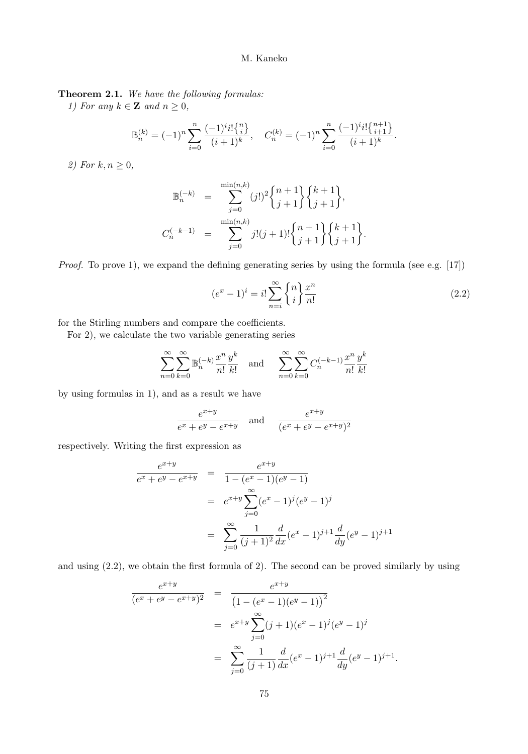Theorem 2.1. We have the following formulas:

1) For any  $k \in \mathbb{Z}$  and  $n \geq 0$ ,

$$
\mathbb{B}_n^{(k)} = (-1)^n \sum_{i=0}^n \frac{(-1)^i i! \binom{n}{i}}{(i+1)^k}, \quad C_n^{(k)} = (-1)^n \sum_{i=0}^n \frac{(-1)^i i! \binom{n+1}{i+1}}{(i+1)^k}.
$$

2) For  $k, n \geq 0$ ,

$$
\mathbb{B}_n^{(-k)} = \sum_{j=0}^{\min(n,k)} (j!)^2 \begin{Bmatrix} n+1 \\ j+1 \end{Bmatrix} \begin{Bmatrix} k+1 \\ j+1 \end{Bmatrix},
$$
  

$$
C_n^{(-k-1)} = \sum_{j=0}^{\min(n,k)} j!(j+1)! \begin{Bmatrix} n+1 \\ j+1 \end{Bmatrix} \begin{Bmatrix} k+1 \\ j+1 \end{Bmatrix}.
$$

Proof. To prove 1), we expand the defining generating series by using the formula (see e.g. [17])

$$
(e^x - 1)^i = i! \sum_{n=i}^{\infty} \binom{n}{i} \frac{x^n}{n!}
$$
\n
$$
(2.2)
$$

.

for the Stirling numbers and compare the coefficients.

For 2), we calculate the two variable generating series

$$
\sum_{n=0}^{\infty} \sum_{k=0}^{\infty} \mathbb{B}_{n}^{(-k)} \frac{x^{n}}{n!} \frac{y^{k}}{k!} \text{ and } \sum_{n=0}^{\infty} \sum_{k=0}^{\infty} C_{n}^{(-k-1)} \frac{x^{n}}{n!} \frac{y^{k}}{k!}
$$

by using formulas in 1), and as a result we have

$$
\frac{e^{x+y}}{e^x + e^y - e^{x+y}} \quad \text{and} \quad \frac{e^{x+y}}{(e^x + e^y - e^{x+y})^2}
$$

respectively. Writing the first expression as

$$
\frac{e^{x+y}}{e^x + e^y - e^{x+y}} = \frac{e^{x+y}}{1 - (e^x - 1)(e^y - 1)}
$$
  

$$
= e^{x+y} \sum_{j=0}^{\infty} (e^x - 1)^j (e^y - 1)^j
$$
  

$$
= \sum_{j=0}^{\infty} \frac{1}{(j+1)^2} \frac{d}{dx} (e^x - 1)^{j+1} \frac{d}{dy} (e^y - 1)^{j+1}
$$

and using (2.2), we obtain the first formula of 2). The second can be proved similarly by using

$$
\frac{e^{x+y}}{(e^x + e^y - e^{x+y})^2} = \frac{e^{x+y}}{(1 - (e^x - 1)(e^y - 1))^2}
$$

$$
= e^{x+y} \sum_{j=0}^{\infty} (j+1)(e^x - 1)^j (e^y - 1)^j
$$

$$
= \sum_{j=0}^{\infty} \frac{1}{(j+1)} \frac{d}{dx} (e^x - 1)^{j+1} \frac{d}{dy} (e^y - 1)^{j+1}
$$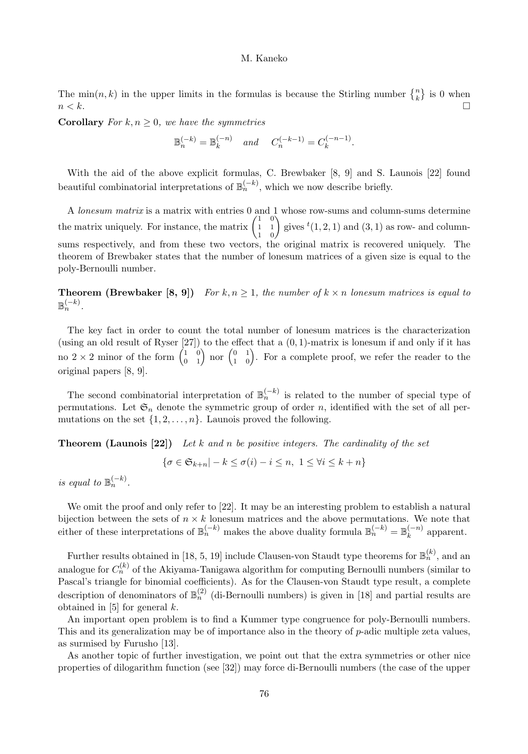The  $\min(n, k)$  in the upper limits in the formulas is because the Stirling number  $\{n\}$  is 0 when  $n < k$ .

**Corollary** For  $k, n \geq 0$ , we have the symmetries

$$
\mathbb{B}_n^{(-k)}=\mathbb{B}_k^{(-n)}\quad\text{and}\quad \ C_n^{(-k-1)}=C_k^{(-n-1)}.
$$

With the aid of the above explicit formulas, C. Brewbaker [8, 9] and S. Launois [22] found beautiful combinatorial interpretations of  $\mathbb{B}_n^{(-k)}$ , which we now describe briefly.

A lonesum matrix is a matrix with entries 0 and 1 whose row-sums and column-sums determine the matrix uniquely. For instance, the matrix  $\begin{pmatrix} 1 & 0 \\ 1 & 1 \end{pmatrix}$  $\begin{pmatrix} 1 & 0 \\ 1 & 1 \\ 1 & 0 \end{pmatrix}$  gives  ${}^t(1,2,1)$  and  $(3,1)$  as row- and columnsums respectively, and from these two vectors, the original matrix is recovered uniquely. The theorem of Brewbaker states that the number of lonesum matrices of a given size is equal to the poly-Bernoulli number.

**Theorem (Brewbaker [8, 9])** For k,  $n \geq 1$ , the number of  $k \times n$  lonesum matrices is equal to  $\mathbb{B}_n^{(-k)}$ .

The key fact in order to count the total number of lonesum matrices is the characterization (using an old result of Ryser  $[27]$ ) to the effect that a  $(0, 1)$ -matrix is lonesum if and only if it has no  $2 \times 2$  minor of the form  $\begin{pmatrix} 1 & 0 \\ 0 & 1 \end{pmatrix}$  nor  $\begin{pmatrix} 0 & 1 \\ 1 & 0 \end{pmatrix}$ . For a complete proof, we refer the reader to the original papers [8, 9].

The second combinatorial interpretation of  $\mathbb{B}_n^{(-k)}$  is related to the number of special type of permutations. Let  $\mathfrak{S}_n$  denote the symmetric group of order n, identified with the set of all permutations on the set  $\{1, 2, \ldots, n\}$ . Launois proved the following.

**Theorem (Launois [22])** Let k and n be positive integers. The cardinality of the set

$$
\{\sigma \in \mathfrak{S}_{k+n} | -k \le \sigma(i) - i \le n, \ 1 \le \forall i \le k+n\}
$$

is equal to  $\mathbb{B}_n^{(-k)}$ .

We omit the proof and only refer to [22]. It may be an interesting problem to establish a natural bijection between the sets of  $n \times k$  lonesum matrices and the above permutations. We note that either of these interpretations of  $\mathbb{B}_n^{(-k)}$  makes the above duality formula  $\mathbb{B}_n^{(-k)} = \mathbb{B}_k^{(-n)}$  apparent.

Further results obtained in [18, 5, 19] include Clausen-von Staudt type theorems for  $\mathbb{B}_n^{(k)}$ , and an analogue for  $C_n^{(k)}$  of the Akiyama-Tanigawa algorithm for computing Bernoulli numbers (similar to Pascal's triangle for binomial coefficients). As for the Clausen-von Staudt type result, a complete description of denominators of  $\mathbb{B}_n^{(2)}$  (di-Bernoulli numbers) is given in [18] and partial results are obtained in  $[5]$  for general  $k$ .

An important open problem is to find a Kummer type congruence for poly-Bernoulli numbers. This and its generalization may be of importance also in the theory of  $p$ -adic multiple zeta values, as surmised by Furusho [13].

As another topic of further investigation, we point out that the extra symmetries or other nice properties of dilogarithm function (see [32]) may force di-Bernoulli numbers (the case of the upper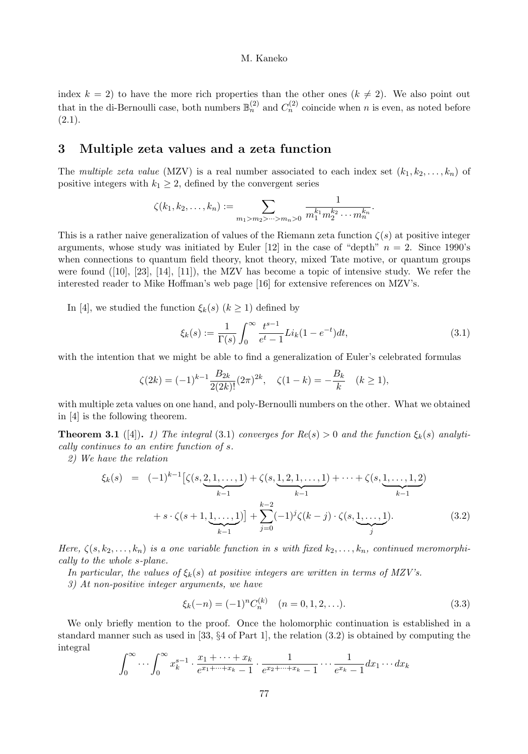index  $k = 2$ ) to have the more rich properties than the other ones  $(k \neq 2)$ . We also point out that in the di-Bernoulli case, both numbers  $\mathbb{B}_n^{(2)}$  and  $C_n^{(2)}$  coincide when n is even, as noted before  $(2.1).$ 

## 3 Multiple zeta values and a zeta function

The multiple zeta value (MZV) is a real number associated to each index set  $(k_1, k_2, \ldots, k_n)$  of positive integers with  $k_1 \geq 2$ , defined by the convergent series

$$
\zeta(k_1, k_2, \ldots, k_n) := \sum_{m_1 > m_2 > \cdots > m_n > 0} \frac{1}{m_1^{k_1} m_2^{k_2} \cdots m_n^{k_n}}.
$$

This is a rather naive generalization of values of the Riemann zeta function  $\zeta(s)$  at positive integer arguments, whose study was initiated by Euler [12] in the case of "depth"  $n = 2$ . Since 1990's when connections to quantum field theory, knot theory, mixed Tate motive, or quantum groups were found ([10], [23], [14], [11]), the MZV has become a topic of intensive study. We refer the interested reader to Mike Hoffman's web page [16] for extensive references on MZV's.

In [4], we studied the function  $\xi_k(s)$   $(k \geq 1)$  defined by

$$
\xi_k(s) := \frac{1}{\Gamma(s)} \int_0^\infty \frac{t^{s-1}}{e^t - 1} Li_k(1 - e^{-t}) dt,\tag{3.1}
$$

with the intention that we might be able to find a generalization of Euler's celebrated formulas

$$
\zeta(2k) = (-1)^{k-1} \frac{B_{2k}}{2(2k)!} (2\pi)^{2k}, \quad \zeta(1-k) = -\frac{B_k}{k} \quad (k \ge 1),
$$

with multiple zeta values on one hand, and poly-Bernoulli numbers on the other. What we obtained in [4] is the following theorem.

**Theorem 3.1** ([4]). 1) The integral (3.1) converges for  $Re(s) > 0$  and the function  $\xi_k(s)$  analytically continues to an entire function of s.

2) We have the relation

$$
\xi_k(s) = (-1)^{k-1} \left[ \zeta(s, \underbrace{2, 1, \dots, 1}_{k-1}) + \zeta(s, \underbrace{1, 2, 1, \dots, 1}_{k-1}) + \dots + \zeta(s, \underbrace{1, \dots, 1, 2}_{k-1}) + s \cdot \zeta(s+1, \underbrace{1, \dots, 1}_{k-1}) \right] + \sum_{j=0}^{k-2} (-1)^j \zeta(k-j) \cdot \zeta(s, \underbrace{1, \dots, 1}_{j}).
$$
\n(3.2)

Here,  $\zeta(s, k_2, \ldots, k_n)$  is a one variable function in s with fixed  $k_2, \ldots, k_n$ , continued meromorphically to the whole s-plane.

In particular, the values of  $\xi_k(s)$  at positive integers are written in terms of MZV's.

3) At non-positive integer arguments, we have

$$
\xi_k(-n) = (-1)^n C_n^{(k)} \quad (n = 0, 1, 2, \ldots). \tag{3.3}
$$

We only briefly mention to the proof. Once the holomorphic continuation is established in a standard manner such as used in [33, §4 of Part 1], the relation (3.2) is obtained by computing the integral

$$
\int_0^\infty \cdots \int_0^\infty x_k^{s-1} \cdot \frac{x_1 + \cdots + x_k}{e^{x_1 + \cdots + x_k} - 1} \cdot \frac{1}{e^{x_2 + \cdots + x_k} - 1} \cdots \frac{1}{e^{x_k} - 1} dx_1 \cdots dx_k
$$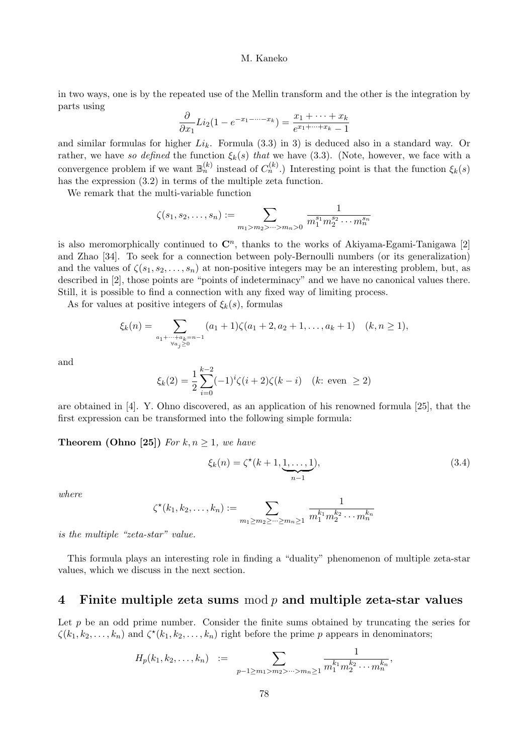in two ways, one is by the repeated use of the Mellin transform and the other is the integration by parts using

$$
\frac{\partial}{\partial x_1}Li_2(1-e^{-x_1-\cdots-x_k})=\frac{x_1+\cdots+x_k}{e^{x_1+\cdots+x_k}-1}
$$

and similar formulas for higher  $Li_k$ . Formula (3.3) in 3) is deduced also in a standard way. Or rather, we have so defined the function  $\xi_k(s)$  that we have (3.3). (Note, however, we face with a convergence problem if we want  $\mathbb{B}_n^{(k)}$  instead of  $C_n^{(k)}$ .) Interesting point is that the function  $\xi_k(s)$ has the expression (3.2) in terms of the multiple zeta function.

We remark that the multi-variable function

$$
\zeta(s_1, s_2, \dots, s_n) := \sum_{m_1 > m_2 > \dots > m_n > 0} \frac{1}{m_1^{s_1} m_2^{s_2} \cdots m_n^{s_n}}
$$

is also meromorphically continued to  $\mathbb{C}^n$ , thanks to the works of Akiyama-Egami-Tanigawa [2] and Zhao [34]. To seek for a connection between poly-Bernoulli numbers (or its generalization) and the values of  $\zeta(s_1, s_2, \ldots, s_n)$  at non-positive integers may be an interesting problem, but, as described in [2], those points are "points of indeterminacy" and we have no canonical values there. Still, it is possible to find a connection with any fixed way of limiting process.

As for values at positive integers of  $\xi_k(s)$ , formulas

$$
\xi_k(n) = \sum_{\substack{a_1 + \dots + a_k = n-1 \\ \forall a_j \ge 0}} (a_1 + 1) \zeta(a_1 + 2, a_2 + 1, \dots, a_k + 1) \quad (k, n \ge 1),
$$

and

$$
\xi_k(2) = \frac{1}{2} \sum_{i=0}^{k-2} (-1)^i \zeta(i+2) \zeta(k-i) \quad (k: \text{ even } \ge 2)
$$

are obtained in [4]. Y. Ohno discovered, as an application of his renowned formula [25], that the first expression can be transformed into the following simple formula:

**Theorem (Ohno [25])** For  $k, n \geq 1$ , we have

$$
\xi_k(n) = \zeta^*(k+1, \underbrace{1, \dots, 1}_{n-1}),
$$
\n(3.4)

where

$$
\zeta^{\star}(k_1, k_2, \dots, k_n) := \sum_{m_1 \ge m_2 \ge \dots \ge m_n \ge 1} \frac{1}{m_1^{k_1} m_2^{k_2} \dots m_n^{k_n}}
$$

is the multiple "zeta-star" value.

This formula plays an interesting role in finding a "duality" phenomenon of multiple zeta-star values, which we discuss in the next section.

## 4 Finite multiple zeta sums mod  $p$  and multiple zeta-star values

Let  $p$  be an odd prime number. Consider the finite sums obtained by truncating the series for  $\zeta(k_1, k_2, \ldots, k_n)$  and  $\zeta^*(k_1, k_2, \ldots, k_n)$  right before the prime p appears in denominators;

$$
H_p(k_1, k_2, \ldots, k_n) := \sum_{p-1 \ge m_1 > m_2 > \cdots > m_n \ge 1} \frac{1}{m_1^{k_1} m_2^{k_2} \cdots m_n^{k_n}},
$$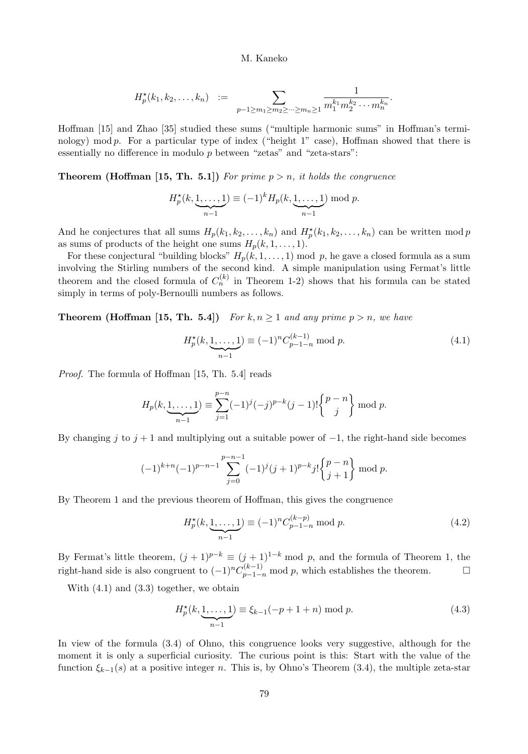$$
H_p^{\star}(k_1, k_2, \ldots, k_n) := \sum_{p-1 \ge m_1 \ge m_2 \ge \cdots \ge m_n \ge 1} \frac{1}{m_1^{k_1} m_2^{k_2} \cdots m_n^{k_n}}.
$$

Hoffman [15] and Zhao [35] studied these sums ("multiple harmonic sums" in Hoffman's terminology) mod  $p$ . For a particular type of index ("height 1" case), Hoffman showed that there is essentially no difference in modulo  $p$  between "zetas" and "zeta-stars":

**Theorem (Hoffman [15, Th. 5.1])** For prime  $p > n$ , it holds the congruence

$$
H_p^{\star}(k, \underbrace{1, \ldots, 1}_{n-1}) \equiv (-1)^k H_p(k, \underbrace{1, \ldots, 1}_{n-1}) \bmod p.
$$

And he conjectures that all sums  $H_p(k_1, k_2, \ldots, k_n)$  and  $H_p^{\star}(k_1, k_2, \ldots, k_n)$  can be written mod p as sums of products of the height one sums  $H_p(k, 1, \ldots, 1)$ .

For these conjectural "building blocks"  $H_p(k, 1, \ldots, 1)$  mod p, he gave a closed formula as a sum involving the Stirling numbers of the second kind. A simple manipulation using Fermat's little theorem and the closed formula of  $C_n^{(k)}$  in Theorem 1-2) shows that his formula can be stated simply in terms of poly-Bernoulli numbers as follows.

**Theorem (Hoffman [15, Th. 5.4])** For  $k, n \ge 1$  and any prime  $p > n$ , we have

$$
H_p^{\star}(k, \underbrace{1, \dots, 1}_{n-1}) \equiv (-1)^n C_{p-1-n}^{(k-1)} \bmod p. \tag{4.1}
$$

Proof. The formula of Hoffman [15, Th. 5.4] reads

$$
H_p(k, \underbrace{1, \dots, 1}_{n-1}) \equiv \sum_{j=1}^{p-n} (-1)^j (-j)^{p-k} (j-1)! {p-n \choose j} \mod p.
$$

By changing j to  $j + 1$  and multiplying out a suitable power of  $-1$ , the right-hand side becomes

$$
(-1)^{k+n}(-1)^{p-n-1}\sum_{j=0}^{p-n-1}(-1)^j(j+1)^{p-k}j!\binom{p-n}{j+1}\bmod p.
$$

By Theorem 1 and the previous theorem of Hoffman, this gives the congruence

$$
H_p^*(k, \underbrace{1, \dots, 1}_{n-1}) \equiv (-1)^n C_{p-1-n}^{(k-p)} \bmod p. \tag{4.2}
$$

By Fermat's little theorem,  $(j + 1)^{p-k} \equiv (j + 1)^{1-k} \mod p$ , and the formula of Theorem 1, the right-hand side is also congruent to  $(-1)^n C_{p-1-n}^{(k-1)}$  mod p, which establishes the theorem.  $\Box$ 

With  $(4.1)$  and  $(3.3)$  together, we obtain

$$
H_p^{\star}(k, \underbrace{1, \dots, 1}_{n-1}) \equiv \xi_{k-1}(-p+1+n) \bmod p.
$$
 (4.3)

In view of the formula (3.4) of Ohno, this congruence looks very suggestive, although for the moment it is only a superficial curiosity. The curious point is this: Start with the value of the function  $\xi_{k-1}(s)$  at a positive integer n. This is, by Ohno's Theorem (3.4), the multiple zeta-star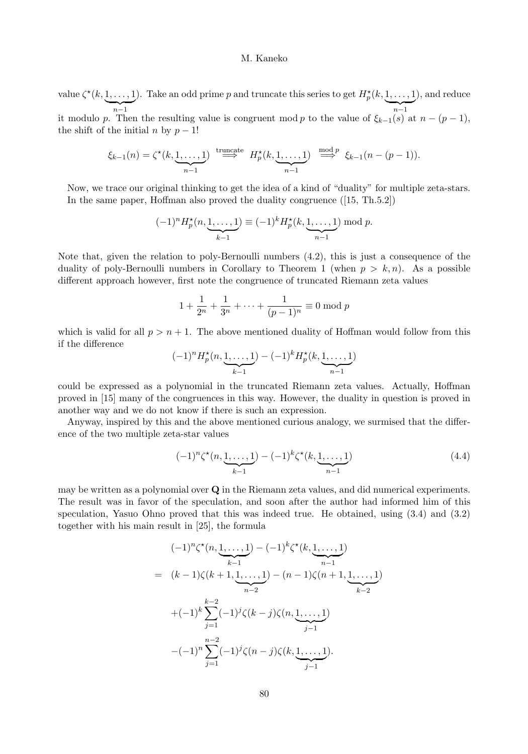value  $\zeta^*(k,1,\ldots,1)$  $\sum_{n=1}$ ). Take an odd prime p and truncate this series to get  $H_p^{\star}(k,1,\ldots,1)$  $\sum_{n-1}$ ), and reduce it modulo p. Then the resulting value is congruent mod p to the value of  $\xi_{k-1}(s)$  at  $n-(p-1)$ , the shift of the initial n by  $p-1!$ 

$$
\xi_{k-1}(n) = \zeta^{\star}(k, \underbrace{1, \ldots, 1}_{n-1}) \stackrel{\text{truncate}}{\Longrightarrow} H_p^{\star}(k, \underbrace{1, \ldots, 1}_{n-1}) \stackrel{\text{mod } p}{\Longrightarrow} \xi_{k-1}(n-(p-1)).
$$

Now, we trace our original thinking to get the idea of a kind of "duality" for multiple zeta-stars. In the same paper, Hoffman also proved the duality congruence ([15, Th.5.2])

$$
(-1)^n H_p^*(n, \underbrace{1, \dots, 1}_{k-1}) \equiv (-1)^k H_p^*(k, \underbrace{1, \dots, 1}_{n-1}) \bmod p.
$$

Note that, given the relation to poly-Bernoulli numbers (4.2), this is just a consequence of the duality of poly-Bernoulli numbers in Corollary to Theorem 1 (when  $p > k, n$ ). As a possible different approach however, first note the congruence of truncated Riemann zeta values

$$
1 + \frac{1}{2^n} + \frac{1}{3^n} + \dots + \frac{1}{(p-1)^n} \equiv 0 \bmod p
$$

which is valid for all  $p > n + 1$ . The above mentioned duality of Hoffman would follow from this if the difference

$$
(-1)^n H_p^{\star}(n, \underbrace{1, \dots, 1}_{k-1}) - (-1)^k H_p^{\star}(k, \underbrace{1, \dots, 1}_{n-1})
$$

could be expressed as a polynomial in the truncated Riemann zeta values. Actually, Hoffman proved in [15] many of the congruences in this way. However, the duality in question is proved in another way and we do not know if there is such an expression.

Anyway, inspired by this and the above mentioned curious analogy, we surmised that the difference of the two multiple zeta-star values

$$
(-1)^{n} \zeta^{\star}(n, \underbrace{1, \dots, 1}_{k-1}) - (-1)^{k} \zeta^{\star}(k, \underbrace{1, \dots, 1}_{n-1})
$$
\n(4.4)

may be written as a polynomial over Q in the Riemann zeta values, and did numerical experiments. The result was in favor of the speculation, and soon after the author had informed him of this speculation, Yasuo Ohno proved that this was indeed true. He obtained, using (3.4) and (3.2) together with his main result in [25], the formula

$$
(-1)^{n} \zeta^{\star}(n, \underbrace{1, \ldots, 1}_{k-1}) - (-1)^{k} \zeta^{\star}(k, \underbrace{1, \ldots, 1}_{n-1})
$$
\n
$$
= (k-1)\zeta(k+1, \underbrace{1, \ldots, 1}_{n-2}) - (n-1)\zeta(n+1, \underbrace{1, \ldots, 1}_{k-2})
$$
\n
$$
+(-1)^{k} \sum_{j=1}^{k-2} (-1)^{j} \zeta(k-j) \zeta(n, \underbrace{1, \ldots, 1}_{j-1})
$$
\n
$$
-(-1)^{n} \sum_{j=1}^{n-2} (-1)^{j} \zeta(n-j) \zeta(k, \underbrace{1, \ldots, 1}_{j-1}).
$$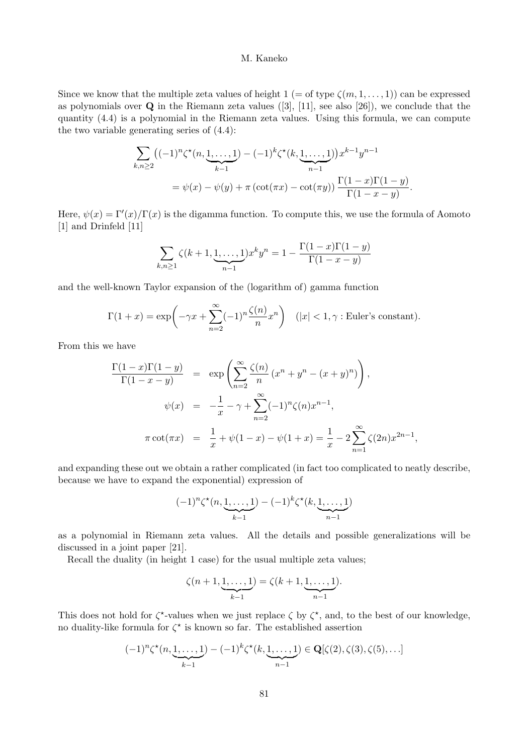Since we know that the multiple zeta values of height  $1 (=$  of type  $\zeta(m,1,\ldots,1))$  can be expressed as polynomials over  $\bf{Q}$  in the Riemann zeta values ([3], [11], see also [26]), we conclude that the quantity (4.4) is a polynomial in the Riemann zeta values. Using this formula, we can compute the two variable generating series of (4.4):

$$
\sum_{k,n\geq 2} \left( (-1)^n \zeta^*(n, \underbrace{1, \dots, 1}_{k-1}) - (-1)^k \zeta^*(k, \underbrace{1, \dots, 1}_{n-1}) \right) x^{k-1} y^{n-1}
$$
\n
$$
= \psi(x) - \psi(y) + \pi \left( \cot(\pi x) - \cot(\pi y) \right) \frac{\Gamma(1-x)\Gamma(1-y)}{\Gamma(1-x-y)}
$$

.

Here,  $\psi(x) = \Gamma'(x)/\Gamma(x)$  is the digamma function. To compute this, we use the formula of Aomoto [1] and Drinfeld [11]

$$
\sum_{k,n\geq 1} \zeta(k+1, \underbrace{1, \dots, 1}_{n-1}) x^k y^n = 1 - \frac{\Gamma(1-x)\Gamma(1-y)}{\Gamma(1-x-y)}
$$

and the well-known Taylor expansion of the (logarithm of) gamma function

$$
\Gamma(1+x) = \exp\left(-\gamma x + \sum_{n=2}^{\infty} (-1)^n \frac{\zeta(n)}{n} x^n\right) \quad (|x| < 1, \gamma \text{ : Euler's constant}).
$$

From this we have

$$
\frac{\Gamma(1-x)\Gamma(1-y)}{\Gamma(1-x-y)} = \exp\left(\sum_{n=2}^{\infty} \frac{\zeta(n)}{n} (x^n + y^n - (x+y)^n)\right),
$$
  

$$
\psi(x) = -\frac{1}{x} - \gamma + \sum_{n=2}^{\infty} (-1)^n \zeta(n) x^{n-1},
$$
  

$$
\pi \cot(\pi x) = \frac{1}{x} + \psi(1-x) - \psi(1+x) = \frac{1}{x} - 2 \sum_{n=1}^{\infty} \zeta(2n) x^{2n-1},
$$

and expanding these out we obtain a rather complicated (in fact too complicated to neatly describe, because we have to expand the exponential) expression of

$$
(-1)^n \zeta^{\star}(n, \underbrace{1, \dots, 1}_{k-1}) - (-1)^k \zeta^{\star}(k, \underbrace{1, \dots, 1}_{n-1})
$$

as a polynomial in Riemann zeta values. All the details and possible generalizations will be discussed in a joint paper [21].

Recall the duality (in height 1 case) for the usual multiple zeta values;

$$
\zeta(n+1, \underbrace{1, \dots, 1}_{k-1}) = \zeta(k+1, \underbrace{1, \dots, 1}_{n-1}).
$$

This does not hold for  $\zeta^*$ -values when we just replace  $\zeta$  by  $\zeta^*$ , and, to the best of our knowledge, no duality-like formula for  $\zeta^*$  is known so far. The established assertion

$$
(-1)^n \zeta^{\star}(n, \underbrace{1, \ldots, 1}_{k-1}) - (-1)^k \zeta^{\star}(k, \underbrace{1, \ldots, 1}_{n-1}) \in \mathbf{Q}[\zeta(2), \zeta(3), \zeta(5), \ldots]
$$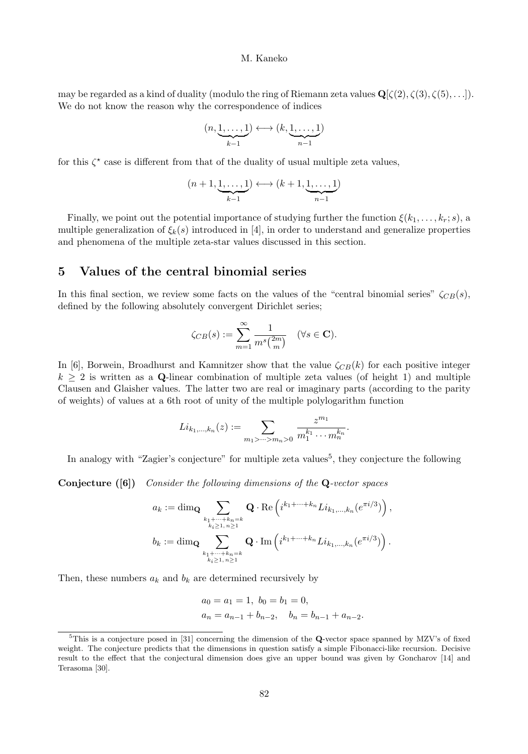may be regarded as a kind of duality (modulo the ring of Riemann zeta values  $\mathbf{Q}[\zeta(2), \zeta(3), \zeta(5), \ldots]$ ). We do not know the reason why the correspondence of indices

$$
(n, \underbrace{1, \ldots, 1}_{k-1}) \longleftrightarrow (k, \underbrace{1, \ldots, 1}_{n-1})
$$

for this  $\zeta^*$  case is different from that of the duality of usual multiple zeta values,

$$
(n+1,\underbrace{1,\ldots,1}_{k-1}) \longleftrightarrow (k+1,\underbrace{1,\ldots,1}_{n-1})
$$

Finally, we point out the potential importance of studying further the function  $\xi(k_1, \ldots, k_r; s)$ , a multiple generalization of  $\xi_k(s)$  introduced in [4], in order to understand and generalize properties and phenomena of the multiple zeta-star values discussed in this section.

# 5 Values of the central binomial series

In this final section, we review some facts on the values of the "central binomial series"  $\zeta_{CB}(s)$ , defined by the following absolutely convergent Dirichlet series;

$$
\zeta_{CB}(s) := \sum_{m=1}^{\infty} \frac{1}{m^s \binom{2m}{m}} \quad (\forall s \in \mathbf{C}).
$$

In [6], Borwein, Broadhurst and Kamnitzer show that the value  $\zeta_{CB}(k)$  for each positive integer  $k \geq 2$  is written as a Q-linear combination of multiple zeta values (of height 1) and multiple Clausen and Glaisher values. The latter two are real or imaginary parts (according to the parity of weights) of values at a 6th root of unity of the multiple polylogarithm function

$$
Li_{k_1,\dots,k_n}(z) := \sum_{m_1 > \dots > m_n > 0} \frac{z^{m_1}}{m_1^{k_1} \cdots m_n^{k_n}}.
$$

In analogy with "Zagier's conjecture" for multiple zeta values<sup>5</sup>, they conjecture the following

Conjecture ([6]) Consider the following dimensions of the Q-vector spaces

$$
\begin{aligned} a_k &:= \dim_{\mathbf{Q}} \sum_{\mathclap{\substack{k_1+\cdots+k_n=k \\ k_i\geq 1,\,n\geq 1}}} \mathbf{Q}\cdot \operatorname{Re}\left( i^{k_1+\cdots+k_n} Li_{k_1,\ldots,k_n}(e^{\pi i/3}) \right), \\ b_k &:= \dim_{\mathbf{Q}} \sum_{\mathclap{\substack{k_1+\cdots+k_n=k \\ k_i\geq 1,\,n\geq 1}}} \mathbf{Q}\cdot \operatorname{Im}\left( i^{k_1+\cdots+k_n} Li_{k_1,\ldots,k_n}(e^{\pi i/3}) \right). \end{aligned}
$$

Then, these numbers  $a_k$  and  $b_k$  are determined recursively by

$$
a_0 = a_1 = 1, b_0 = b_1 = 0,
$$
  
\n $a_n = a_{n-1} + b_{n-2}, b_n = b_{n-1} + a_{n-2}.$ 

 $5$ This is a conjecture posed in [31] concerning the dimension of the Q-vector space spanned by MZV's of fixed weight. The conjecture predicts that the dimensions in question satisfy a simple Fibonacci-like recursion. Decisive result to the effect that the conjectural dimension does give an upper bound was given by Goncharov [14] and Terasoma [30].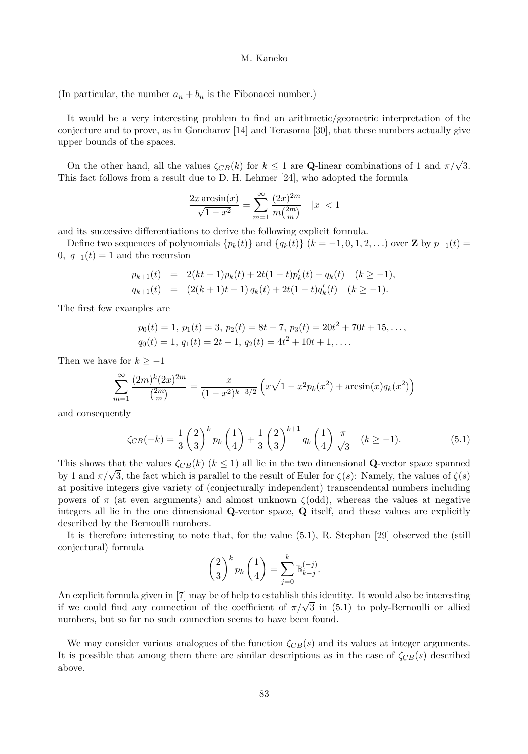(In particular, the number  $a_n + b_n$  is the Fibonacci number.)

It would be a very interesting problem to find an arithmetic/geometric interpretation of the conjecture and to prove, as in Goncharov [14] and Terasoma [30], that these numbers actually give upper bounds of the spaces.

On the other hand, all the values  $\zeta_{CB}(k)$  for  $k \leq 1$  are **Q-linear combinations of 1 and**  $\pi/\sqrt{3}$ **.** This fact follows from a result due to D. H. Lehmer [24], who adopted the formula

$$
\frac{2x \arcsin(x)}{\sqrt{1-x^2}} = \sum_{m=1}^{\infty} \frac{(2x)^{2m}}{m \binom{2m}{m}} \quad |x| < 1
$$

and its successive differentiations to derive the following explicit formula.

Define two sequences of polynomials  $\{p_k(t)\}\$  and  $\{q_k(t)\}\$  ( $k = -1, 0, 1, 2, \ldots$ ) over **Z** by  $p_{-1}(t) =$ 0,  $q_{-1}(t) = 1$  and the recursion

$$
p_{k+1}(t) = 2(kt+1)p_k(t) + 2t(1-t)p'_k(t) + q_k(t) \quad (k \ge -1),
$$
  
\n
$$
q_{k+1}(t) = (2(k+1)t+1) q_k(t) + 2t(1-t)q'_k(t) \quad (k \ge -1).
$$

The first few examples are

$$
p_0(t) = 1
$$
,  $p_1(t) = 3$ ,  $p_2(t) = 8t + 7$ ,  $p_3(t) = 20t^2 + 70t + 15$ , ...,  
\n $q_0(t) = 1$ ,  $q_1(t) = 2t + 1$ ,  $q_2(t) = 4t^2 + 10t + 1$ , ....

Then we have for  $k \geq -1$ 

$$
\sum_{m=1}^{\infty} \frac{(2m)^k (2x)^{2m}}{\binom{2m}{m}} = \frac{x}{(1-x^2)^{k+3/2}} \left( x\sqrt{1-x^2} p_k(x^2) + \arcsin(x) q_k(x^2) \right)
$$

and consequently

$$
\zeta_{CB}(-k) = \frac{1}{3} \left(\frac{2}{3}\right)^k p_k\left(\frac{1}{4}\right) + \frac{1}{3} \left(\frac{2}{3}\right)^{k+1} q_k\left(\frac{1}{4}\right) \frac{\pi}{\sqrt{3}} \quad (k \ge -1). \tag{5.1}
$$

This shows that the values  $\zeta_{CB}(k)$   $(k \leq 1)$  all lie in the two dimensional **Q**-vector space spanned by 1 and  $\pi/\sqrt{3}$ , the fact which is parallel to the result of Euler for  $\zeta(s)$ : Namely, the values of  $\zeta(s)$ at positive integers give variety of (conjecturally independent) transcendental numbers including powers of  $\pi$  (at even arguments) and almost unknown  $\zeta(\text{odd})$ , whereas the values at negative integers all lie in the one dimensional Q-vector space, Q itself, and these values are explicitly described by the Bernoulli numbers.

It is therefore interesting to note that, for the value (5.1), R. Stephan [29] observed the (still conjectural) formula

$$
\left(\frac{2}{3}\right)^k p_k\left(\frac{1}{4}\right) = \sum_{j=0}^k \mathbb{B}_{k-j}^{(-j)}.
$$

An explicit formula given in [7] may be of help to establish this identity. It would also be interesting if we could find any connection of the coefficient of  $\pi/\sqrt{3}$  in (5.1) to poly-Bernoulli or allied numbers, but so far no such connection seems to have been found.

We may consider various analogues of the function  $\zeta_{CB}(s)$  and its values at integer arguments. It is possible that among them there are similar descriptions as in the case of  $\zeta_{CB}(s)$  described above.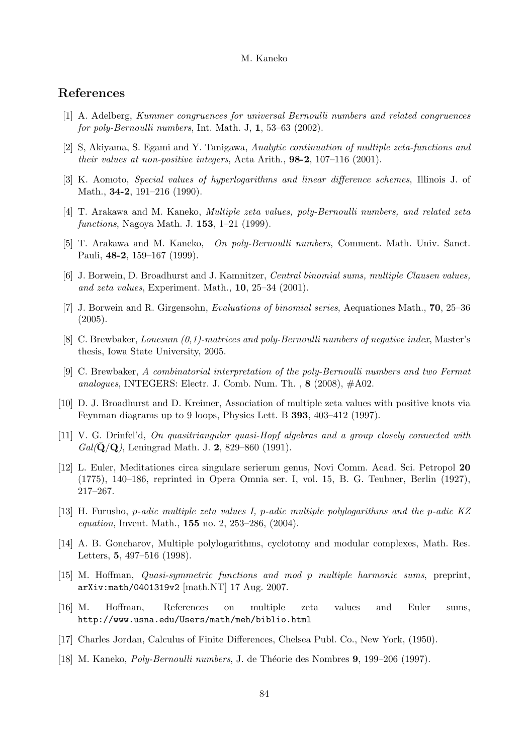## References

- [1] A. Adelberg, Kummer congruences for universal Bernoulli numbers and related congruences for poly-Bernoulli numbers, Int. Math. J,  $1, 53-63$  (2002).
- [2] S, Akiyama, S. Egami and Y. Tanigawa, Analytic continuation of multiple zeta-functions and their values at non-positive integers, Acta Arith., 98-2, 107–116 (2001).
- [3] K. Aomoto, Special values of hyperlogarithms and linear difference schemes, Illinois J. of Math., 34-2, 191–216 (1990).
- [4] T. Arakawa and M. Kaneko, Multiple zeta values, poly-Bernoulli numbers, and related zeta functions, Nagoya Math. J. 153, 1–21 (1999).
- [5] T. Arakawa and M. Kaneko, On poly-Bernoulli numbers, Comment. Math. Univ. Sanct. Pauli, 48-2, 159–167 (1999).
- [6] J. Borwein, D. Broadhurst and J. Kamnitzer, Central binomial sums, multiple Clausen values, and zeta values, Experiment. Math., 10, 25–34 (2001).
- [7] J. Borwein and R. Girgensohn, Evaluations of binomial series, Aequationes Math., 70, 25–36 (2005).
- [8] C. Brewbaker, Lonesum (0,1)-matrices and poly-Bernoulli numbers of negative index, Master's thesis, Iowa State University, 2005.
- [9] C. Brewbaker, A combinatorial interpretation of the poly-Bernoulli numbers and two Fermat analogues, INTEGERS: Electr. J. Comb. Num. Th.,  $8$  (2008),  $\#A02$ .
- [10] D. J. Broadhurst and D. Kreimer, Association of multiple zeta values with positive knots via Feynman diagrams up to 9 loops, Physics Lett. B 393, 403–412 (1997).
- [11] V. G. Drinfel'd, On quasitriangular quasi-Hopf algebras and a group closely connected with  $Gal(\mathbf{Q}/\mathbf{Q})$ , Leningrad Math. J. 2, 829–860 (1991).
- [12] L. Euler, Meditationes circa singulare serierum genus, Novi Comm. Acad. Sci. Petropol 20 (1775), 140–186, reprinted in Opera Omnia ser. I, vol. 15, B. G. Teubner, Berlin (1927), 217–267.
- [13] H. Furusho, p-adic multiple zeta values I, p-adic multiple polylogarithms and the p-adic KZ equation, Invent. Math., 155 no. 2, 253–286, (2004).
- [14] A. B. Goncharov, Multiple polylogarithms, cyclotomy and modular complexes, Math. Res. Letters, 5, 497–516 (1998).
- [15] M. Hoffman, Quasi-symmetric functions and mod p multiple harmonic sums, preprint, arXiv:math/0401319v2 [math.NT] 17 Aug. 2007.
- [16] M. Hoffman, References on multiple zeta values and Euler sums, http://www.usna.edu/Users/math/meh/biblio.html
- [17] Charles Jordan, Calculus of Finite Differences, Chelsea Publ. Co., New York, (1950).
- [18] M. Kaneko, *Poly-Bernoulli numbers*, J. de Théorie des Nombres 9, 199–206 (1997).